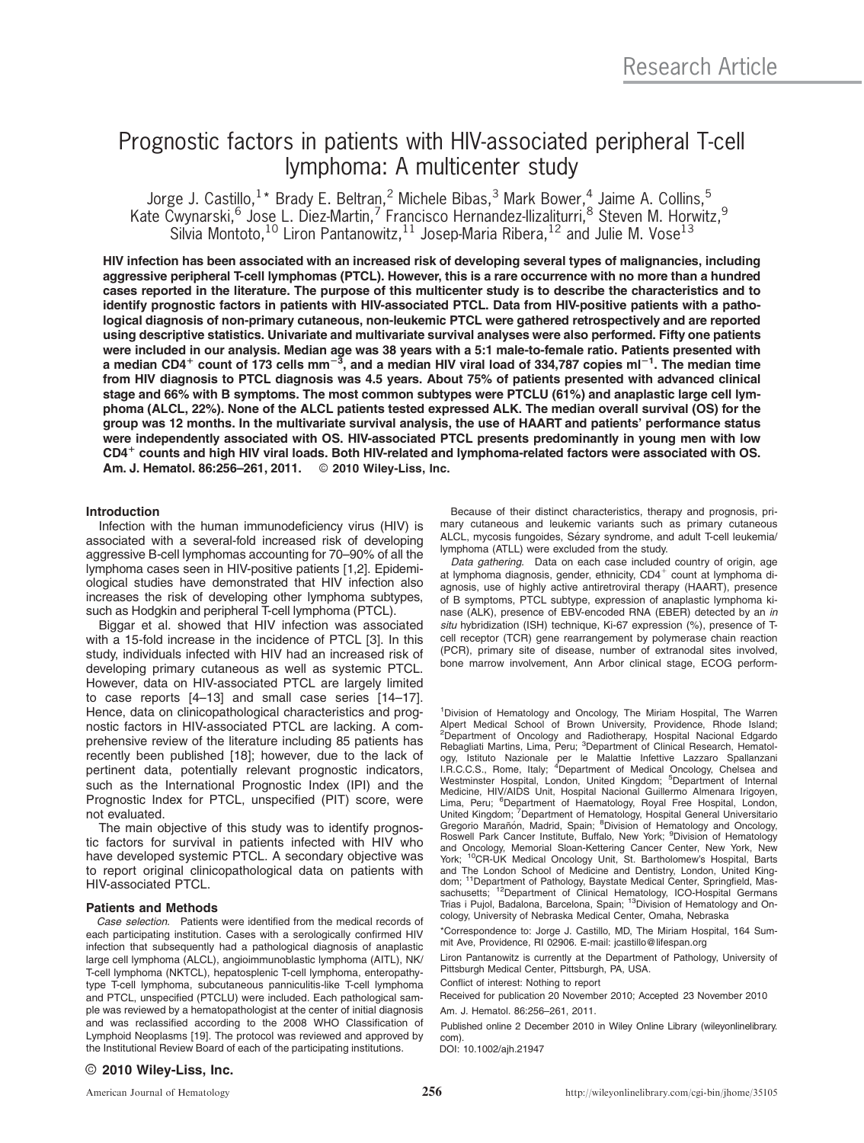## Prognostic factors in patients with HIV-associated peripheral T-cell lymphoma: A multicenter study

Jorge J. Castillo,  $1^*$  Brady E. Beltran, 2 Michele Bibas, 3 Mark Bower,  $4^4$  Jaime A. Collins,  $5$ Kate Cwynarski,<sup>6</sup> Jose L. Diez-Martin,<sup>7</sup> Francisco Hernandez-Ilizaliturri,<sup>8</sup> Steven M. Horwitz,<sup>9</sup> Silvia Montoto,<sup>10</sup> Liron Pantanowitz,<sup>11</sup> Josep-Maria Ribera,<sup>12</sup> and Julie M. Vose<sup>13</sup>

HIV infection has been associated with an increased risk of developing several types of malignancies, including aggressive peripheral T-cell lymphomas (PTCL). However, this is a rare occurrence with no more than a hundred cases reported in the literature. The purpose of this multicenter study is to describe the characteristics and to identify prognostic factors in patients with HIV-associated PTCL. Data from HIV-positive patients with a pathological diagnosis of non-primary cutaneous, non-leukemic PTCL were gathered retrospectively and are reported using descriptive statistics. Univariate and multivariate survival analyses were also performed. Fifty one patients were included in our analysis. Median age was 38 years with a 5:1 male-to-female ratio. Patients presented with a median CD4 $^+$  count of 173 cells mm $^{-3}$ , and a median HIV viral load of 334,787 copies ml $^{-1}$ . The median time from HIV diagnosis to PTCL diagnosis was 4.5 years. About 75% of patients presented with advanced clinical stage and 66% with B symptoms. The most common subtypes were PTCLU (61%) and anaplastic large cell lymphoma (ALCL, 22%). None of the ALCL patients tested expressed ALK. The median overall survival (OS) for the group was 12 months. In the multivariate survival analysis, the use of HAART and patients' performance status were independently associated with OS. HIV-associated PTCL presents predominantly in young men with low CD4<sup>+</sup> counts and high HIV viral loads. Both HIV-related and lymphoma-related factors were associated with OS. Am. J. Hematol. 86:256-261, 2011. © 2010 Wiley-Liss, Inc.

## Introduction

Infection with the human immunodeficiency virus (HIV) is associated with a several-fold increased risk of developing aggressive B-cell lymphomas accounting for 70–90% of all the lymphoma cases seen in HIV-positive patients [1,2]. Epidemiological studies have demonstrated that HIV infection also increases the risk of developing other lymphoma subtypes, such as Hodgkin and peripheral T-cell lymphoma (PTCL).

Biggar et al. showed that HIV infection was associated with a 15-fold increase in the incidence of PTCL [3]. In this study, individuals infected with HIV had an increased risk of developing primary cutaneous as well as systemic PTCL. However, data on HIV-associated PTCL are largely limited to case reports [4–13] and small case series [14–17]. Hence, data on clinicopathological characteristics and prognostic factors in HIV-associated PTCL are lacking. A comprehensive review of the literature including 85 patients has recently been published [18]; however, due to the lack of pertinent data, potentially relevant prognostic indicators, such as the International Prognostic Index (IPI) and the Prognostic Index for PTCL, unspecified (PIT) score, were not evaluated.

The main objective of this study was to identify prognostic factors for survival in patients infected with HIV who have developed systemic PTCL. A secondary objective was to report original clinicopathological data on patients with HIV-associated PTCL.

#### Patients and Methods

Case selection. Patients were identified from the medical records of each participating institution. Cases with a serologically confirmed HIV infection that subsequently had a pathological diagnosis of anaplastic large cell lymphoma (ALCL), angioimmunoblastic lymphoma (AITL), NK/ T-cell lymphoma (NKTCL), hepatosplenic T-cell lymphoma, enteropathytype T-cell lymphoma, subcutaneous panniculitis-like T-cell lymphoma and PTCL, unspecified (PTCLU) were included. Each pathological sample was reviewed by a hematopathologist at the center of initial diagnosis and was reclassified according to the 2008 WHO Classification of Lymphoid Neoplasms [19]. The protocol was reviewed and approved by the Institutional Review Board of each of the participating institutions.

Because of their distinct characteristics, therapy and prognosis, primary cutaneous and leukemic variants such as primary cutaneous ALCL, mycosis fungoides, Sézary syndrome, and adult T-cell leukemia/ lymphoma (ATLL) were excluded from the study.

Data gathering. Data on each case included country of origin, age at lymphoma diagnosis, gender, ethnicity,  $CD4^+$  count at lymphoma diagnosis, use of highly active antiretroviral therapy (HAART), presence of B symptoms, PTCL subtype, expression of anaplastic lymphoma kinase (ALK), presence of EBV-encoded RNA (EBER) detected by an in situ hybridization (ISH) technique, Ki-67 expression (%), presence of Tcell receptor (TCR) gene rearrangement by polymerase chain reaction (PCR), primary site of disease, number of extranodal sites involved, bone marrow involvement, Ann Arbor clinical stage, ECOG perform-

<sup>1</sup>Division of Hematology and Oncology, The Miriam Hospital, The Warren Alpert Medical School of Brown University, Providence, Rhode Island; 2 Department of Oncology and Radiotherapy, Hospital Nacional Edgardo Rebagliati Martins, Lima, Peru; <sup>3</sup>Department of Clinical Research, Hematology, Istituto Nazionale per le Malattie Infettive Lazzaro Spallanzani<br>I.R.C.C.S., Rome, Italy; <sup>4</sup>Department of Medical Oncology, Chelsea and Westminster Hospital, London, United Kingdom; <sup>5</sup>Department of Internal Medicine, HIV/AIDS Unit, Hospital Nacional Guillermo Almenara Irigoyen, Lima, Peru; <sup>6</sup>Department of Haematology, Royal Free Hospital, London, United Kingdom; <sup>7</sup>Department of Hematology, Hospital General Universitario Gregorio Marañón, Madrid, Spain; <sup>8</sup>Division of Hematology and Oncology, Roswell Park Cancer Institute, Buffalo, New York; <sup>9</sup>Division of Hematology and Oncology, Memorial Sloan-Kettering Cancer Center, New York, New<br>York; <sup>10</sup>CR-UK Medical Oncology Unit, St. Bartholomew's Hospital, Barts and The London School of Medicine and Dentistry, London, United Kingdom; <sup>11</sup>Department of Pathology, Baystate Medical Center, Springfield, Mas-<br>sachusetts: <sup>12</sup>Department of Clinical Hematology ICO-Hospital Germans 12Department of Clinical Hematology, ICO-Hospital Germans Trias i Pujol, Badalona, Barcelona, Spain; 13Division of Hematology and Oncology, University of Nebraska Medical Center, Omaha, Nebraska

\*Correspondence to: Jorge J. Castillo, MD, The Miriam Hospital, 164 Summit Ave, Providence, RI 02906. E-mail: jcastillo@lifespan.org

Liron Pantanowitz is currently at the Department of Pathology, University of Pittsburgh Medical Center, Pittsburgh, PA, USA.

Conflict of interest: Nothing to report

Received for publication 20 November 2010; Accepted 23 November 2010 Am. J. Hematol. 86:256–261, 2011.

Published online 2 December 2010 in Wiley Online Library (wileyonlinelibrary. com).

DOI: 10.1002/ajh.21947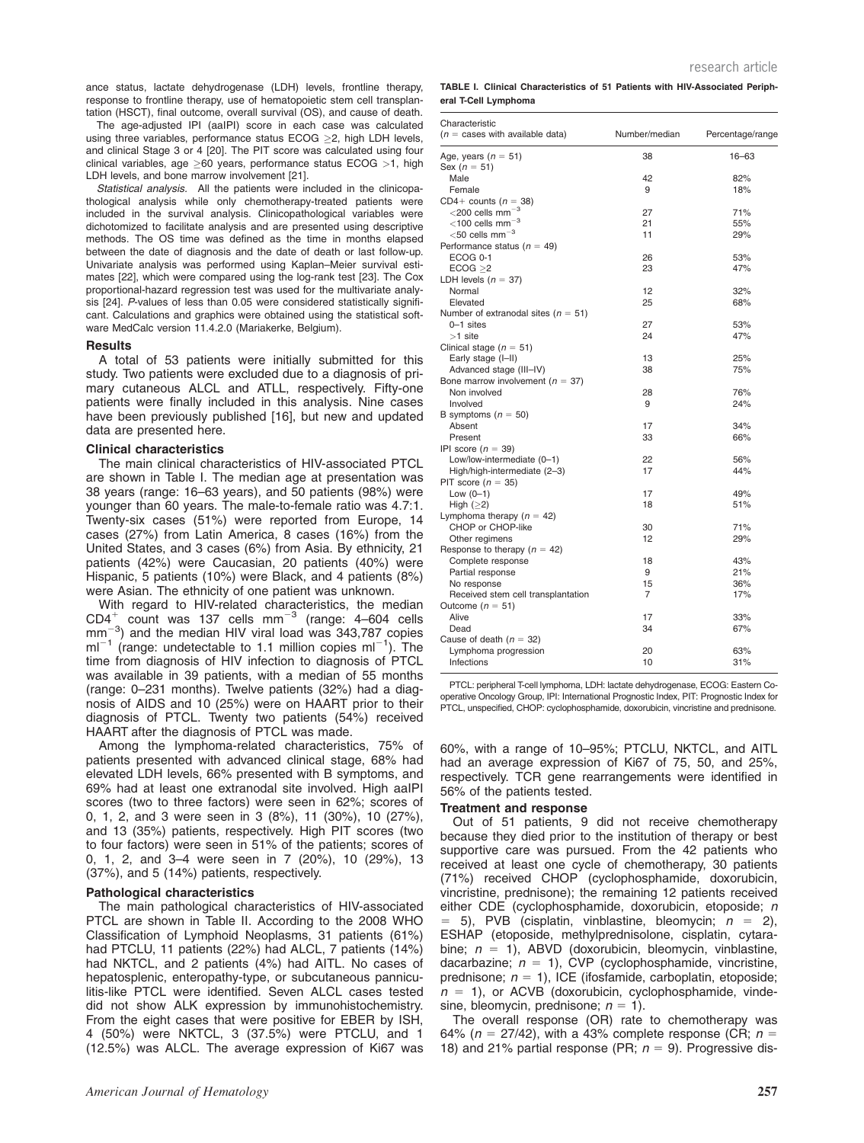ance status, lactate dehydrogenase (LDH) levels, frontline therapy, response to frontline therapy, use of hematopoietic stem cell transplantation (HSCT), final outcome, overall survival (OS), and cause of death.

The age-adjusted IPI (aaIPI) score in each case was calculated using three variables, performance status  $ECOG > 2$ , high LDH levels, and clinical Stage 3 or 4 [20]. The PIT score was calculated using four clinical variables, age  $\geq 60$  years, performance status ECOG  $>1$ , high LDH levels, and bone marrow involvement [21].

Statistical analysis. All the patients were included in the clinicopathological analysis while only chemotherapy-treated patients were included in the survival analysis. Clinicopathological variables were dichotomized to facilitate analysis and are presented using descriptive methods. The OS time was defined as the time in months elapsed between the date of diagnosis and the date of death or last follow-up. Univariate analysis was performed using Kaplan–Meier survival estimates [22], which were compared using the log-rank test [23]. The Cox proportional-hazard regression test was used for the multivariate analysis [24]. P-values of less than 0.05 were considered statistically significant. Calculations and graphics were obtained using the statistical software MedCalc version 11.4.2.0 (Mariakerke, Belgium).

#### **Results**

A total of 53 patients were initially submitted for this study. Two patients were excluded due to a diagnosis of primary cutaneous ALCL and ATLL, respectively. Fifty-one patients were finally included in this analysis. Nine cases have been previously published [16], but new and updated data are presented here.

### Clinical characteristics

The main clinical characteristics of HIV-associated PTCL are shown in Table I. The median age at presentation was 38 years (range: 16–63 years), and 50 patients (98%) were younger than 60 years. The male-to-female ratio was 4.7:1. Twenty-six cases (51%) were reported from Europe, 14 cases (27%) from Latin America, 8 cases (16%) from the United States, and 3 cases (6%) from Asia. By ethnicity, 21 patients (42%) were Caucasian, 20 patients (40%) were Hispanic, 5 patients (10%) were Black, and 4 patients (8%) were Asian. The ethnicity of one patient was unknown.

With regard to HIV-related characteristics, the median  $CD4^+$  count was 137 cells mm<sup>-3</sup> (range: 4-604 cells  $mm^{-3}$ ) and the median HIV viral load was 343,787 copies  $m<sup>1</sup>$  (range: undetectable to 1.1 million copies ml<sup>-</sup> ). The time from diagnosis of HIV infection to diagnosis of PTCL was available in 39 patients, with a median of 55 months (range: 0–231 months). Twelve patients (32%) had a diagnosis of AIDS and 10 (25%) were on HAART prior to their diagnosis of PTCL. Twenty two patients (54%) received HAART after the diagnosis of PTCL was made.

Among the lymphoma-related characteristics, 75% of patients presented with advanced clinical stage, 68% had elevated LDH levels, 66% presented with B symptoms, and 69% had at least one extranodal site involved. High aaIPI scores (two to three factors) were seen in 62%; scores of 0, 1, 2, and 3 were seen in 3 (8%), 11 (30%), 10 (27%), and 13 (35%) patients, respectively. High PIT scores (two to four factors) were seen in 51% of the patients; scores of 0, 1, 2, and 3–4 were seen in 7 (20%), 10 (29%), 13 (37%), and 5 (14%) patients, respectively.

## Pathological characteristics

The main pathological characteristics of HIV-associated PTCL are shown in Table II. According to the 2008 WHO Classification of Lymphoid Neoplasms, 31 patients (61%) had PTCLU, 11 patients (22%) had ALCL, 7 patients (14%) had NKTCL, and 2 patients (4%) had AITL. No cases of hepatosplenic, enteropathy-type, or subcutaneous panniculitis-like PTCL were identified. Seven ALCL cases tested did not show ALK expression by immunohistochemistry. From the eight cases that were positive for EBER by ISH, 4 (50%) were NKTCL, 3 (37.5%) were PTCLU, and 1 (12.5%) was ALCL. The average expression of Ki67 was

TABLE I. Clinical Characteristics of 51 Patients with HIV-Associated Peripheral T-Cell Lymphoma

| Characteristic                                       |               |                  |
|------------------------------------------------------|---------------|------------------|
| $(n = \text{cases with available data})$             | Number/median | Percentage/range |
| Age, years $(n = 51)$                                | 38            | $16 - 63$        |
| Sex ( $n = 51$ )                                     |               |                  |
| Male                                                 | 42            | 82%              |
| Female                                               | 9             | 18%              |
| CD4+ counts ( $n = 38$ )                             |               |                  |
| $<$ 200 cells mm <sup>-3</sup>                       | 27            | 71%              |
| $<$ 100 cells mm <sup>-3</sup>                       | 21            | 55%              |
| $<$ 50 cells mm $^{-3}$                              | 11            | 29%              |
| Performance status ( $n = 49$ )                      |               |                  |
| <b>ECOG 0-1</b>                                      | 26            | 53%              |
| ECOG > 2                                             | 23            | 47%              |
| LDH levels $(n = 37)$                                |               |                  |
| Normal                                               | 12            | 32%              |
| Elevated                                             | 25            | 68%              |
| Number of extranodal sites ( $n = 51$ )              |               |                  |
| $0 - 1$ sites                                        | 27            | 53%              |
| $>1$ site                                            | 24            | 47%              |
| Clinical stage ( $n = 51$ )                          |               |                  |
| Early stage (I-II)                                   | 13            | 25%              |
| Advanced stage (III-IV)                              | 38            | 75%              |
|                                                      |               |                  |
| Bone marrow involvement ( $n = 37$ )<br>Non involved | 28            | 76%              |
|                                                      |               |                  |
| Involved                                             | 9             | 24%              |
| B symptoms ( $n = 50$ )                              |               |                  |
| Absent                                               | 17            | 34%              |
| Present                                              | 33            | 66%              |
| IPI score $(n = 39)$                                 |               |                  |
| Low/low-intermediate (0-1)                           | 22            | 56%              |
| High/high-intermediate (2-3)                         | 17            | 44%              |
| PIT score $(n = 35)$                                 |               |                  |
| Low $(0-1)$                                          | 17            | 49%              |
| High $(≥2)$                                          | 18            | 51%              |
| Lymphoma therapy $(n = 42)$                          |               |                  |
| CHOP or CHOP-like                                    | 30            | 71%              |
| Other regimens                                       | 12            | 29%              |
| Response to therapy $(n = 42)$                       |               |                  |
| Complete response                                    | 18            | 43%              |
| Partial response                                     | 9             | 21%              |
| No response                                          | 15            | 36%              |
| Received stem cell transplantation                   | 7             | 17%              |
| Outcome ( $n = 51$ )                                 |               |                  |
| Alive                                                | 17            | 33%              |
| Dead                                                 | 34            | 67%              |
| Cause of death ( $n = 32$ )                          |               |                  |
| Lymphoma progression                                 | 20            | 63%              |
| Infections                                           | 10            | 31%              |
|                                                      |               |                  |

PTCL: peripheral T-cell lymphoma, LDH: lactate dehydrogenase, ECOG: Eastern Cooperative Oncology Group, IPI: International Prognostic Index, PIT: Prognostic Index for PTCL, unspecified, CHOP: cyclophosphamide, doxorubicin, vincristine and prednisone.

60%, with a range of 10–95%; PTCLU, NKTCL, and AITL had an average expression of Ki67 of 75, 50, and 25%, respectively. TCR gene rearrangements were identified in 56% of the patients tested.

### Treatment and response

Out of 51 patients, 9 did not receive chemotherapy because they died prior to the institution of therapy or best supportive care was pursued. From the 42 patients who received at least one cycle of chemotherapy, 30 patients (71%) received CHOP (cyclophosphamide, doxorubicin, vincristine, prednisone); the remaining 12 patients received either CDE (cyclophosphamide, doxorubicin, etoposide; n  $= 5$ ), PVB (cisplatin, vinblastine, bleomycin;  $n = 2$ ), ESHAP (etoposide, methylprednisolone, cisplatin, cytarabine;  $n = 1$ ), ABVD (doxorubicin, bleomycin, vinblastine, dacarbazine;  $n = 1$ ), CVP (cyclophosphamide, vincristine, prednisone;  $n = 1$ ), ICE (ifosfamide, carboplatin, etoposide;  $n = 1$ ), or ACVB (doxorubicin, cyclophosphamide, vindesine, bleomycin, prednisone;  $n = 1$ ).

The overall response (OR) rate to chemotherapy was 64% ( $n = 27/42$ ), with a 43% complete response (CR;  $n =$ 18) and 21% partial response (PR;  $n = 9$ ). Progressive dis-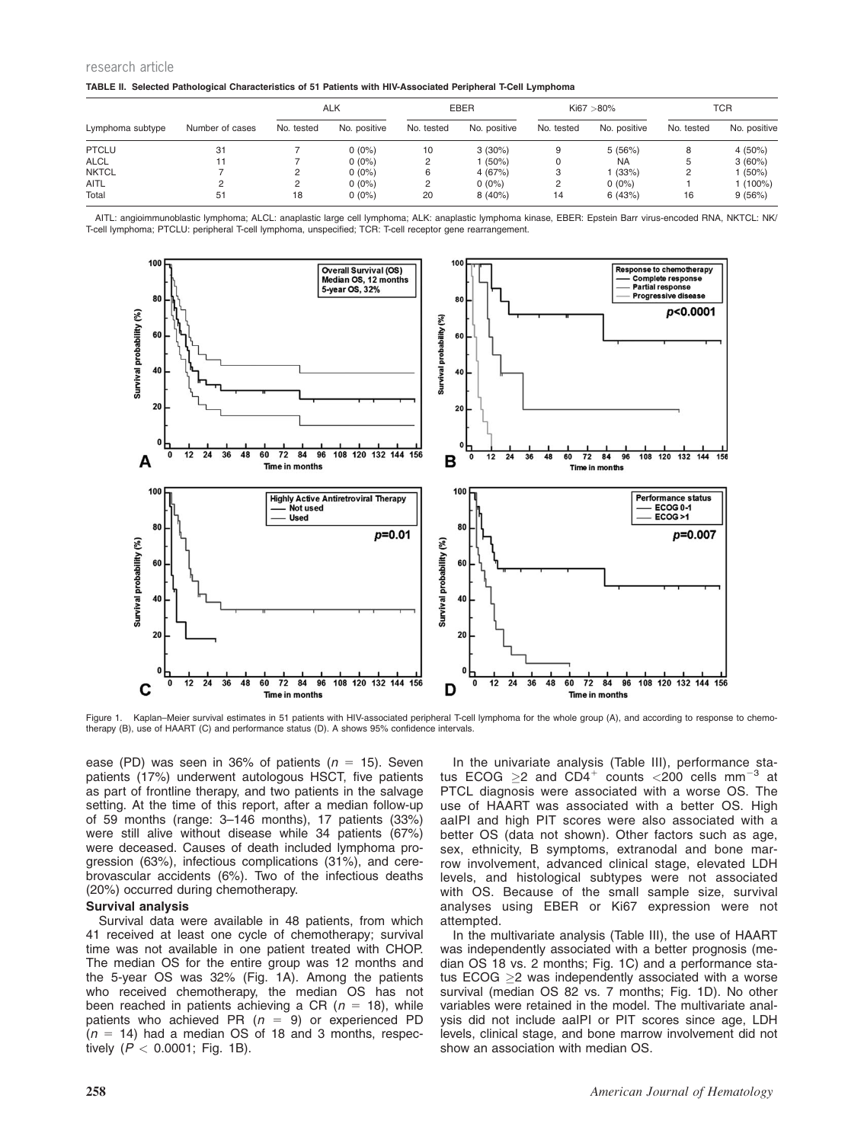#### research article

| TABLE II. Selected Pathological Characteristics of 51 Patients with HIV-Associated Peripheral T-Cell Lymphoma |  |  |  |
|---------------------------------------------------------------------------------------------------------------|--|--|--|
|                                                                                                               |  |  |  |

|                  | Number of cases | <b>ALK</b> |              | <b>EBER</b> |              | Ki67 >80%  |              | <b>TCR</b> |              |
|------------------|-----------------|------------|--------------|-------------|--------------|------------|--------------|------------|--------------|
| Lymphoma subtype |                 | No. tested | No. positive | No. tested  | No. positive | No. tested | No. positive | No. tested | No. positive |
| <b>PTCLU</b>     | 31              |            | $0(0\%)$     | 10          | 3(30%)       | 9          | 5(56%)       | 8          | 4(50%)       |
| <b>ALCL</b>      |                 |            | $0(0\%)$     | 2           | $(50\%)$     | U          | <b>NA</b>    | ь          | 3(60%)       |
| <b>NKTCL</b>     |                 |            | $0(0\%)$     | 6           | 4(67%)       | 3          | (33%)        | ے          | $(50\%)$     |
| AITL             |                 |            | $0(0\%)$     |             | $0(0\%)$     |            | $0(0\%)$     |            | 1 (100%)     |
| Total            | 51              | 18         | $0(0\%)$     | 20          | 8(40%)       | 14         | 6(43%)       | 16         | 9(56%)       |

AITL: angioimmunoblastic lymphoma; ALCL: anaplastic large cell lymphoma; ALK: anaplastic lymphoma kinase, EBER: Epstein Barr virus-encoded RNA, NKTCL: NK/ T-cell lymphoma; PTCLU: peripheral T-cell lymphoma, unspecified; TCR: T-cell receptor gene rearrangement.



Figure 1. Kaplan–Meier survival estimates in 51 patients with HIV-associated peripheral T-cell lymphoma for the whole group (A), and according to response to chemotherapy (B), use of HAART (C) and performance status (D). A shows 95% confidence intervals.

ease (PD) was seen in 36% of patients ( $n = 15$ ). Seven patients (17%) underwent autologous HSCT, five patients as part of frontline therapy, and two patients in the salvage setting. At the time of this report, after a median follow-up of 59 months (range: 3–146 months), 17 patients (33%) were still alive without disease while 34 patients (67%) were deceased. Causes of death included lymphoma progression (63%), infectious complications (31%), and cerebrovascular accidents (6%). Two of the infectious deaths (20%) occurred during chemotherapy.

#### Survival analysis

Survival data were available in 48 patients, from which 41 received at least one cycle of chemotherapy; survival time was not available in one patient treated with CHOP. The median OS for the entire group was 12 months and the 5-year OS was 32% (Fig. 1A). Among the patients who received chemotherapy, the median OS has not been reached in patients achieving a CR ( $n = 18$ ), while patients who achieved PR  $(n = 9)$  or experienced PD  $(n = 14)$  had a median OS of 18 and 3 months, respectively  $(P < 0.0001$ ; Fig. 1B).

In the univariate analysis (Table III), performance status ECOG  $\geq$ 2 and CD4<sup>+</sup> counts <200 cells mm<sup>-3</sup> at PTCL diagnosis were associated with a worse OS. The use of HAART was associated with a better OS. High aaIPI and high PIT scores were also associated with a better OS (data not shown). Other factors such as age, sex, ethnicity, B symptoms, extranodal and bone marrow involvement, advanced clinical stage, elevated LDH levels, and histological subtypes were not associated with OS. Because of the small sample size, survival analyses using EBER or Ki67 expression were not attempted.

In the multivariate analysis (Table III), the use of HAART was independently associated with a better prognosis (median OS 18 vs. 2 months; Fig. 1C) and a performance status ECOG  $\geq$ 2 was independently associated with a worse survival (median OS 82 vs. 7 months; Fig. 1D). No other variables were retained in the model. The multivariate analysis did not include aaIPI or PIT scores since age, LDH levels, clinical stage, and bone marrow involvement did not show an association with median OS.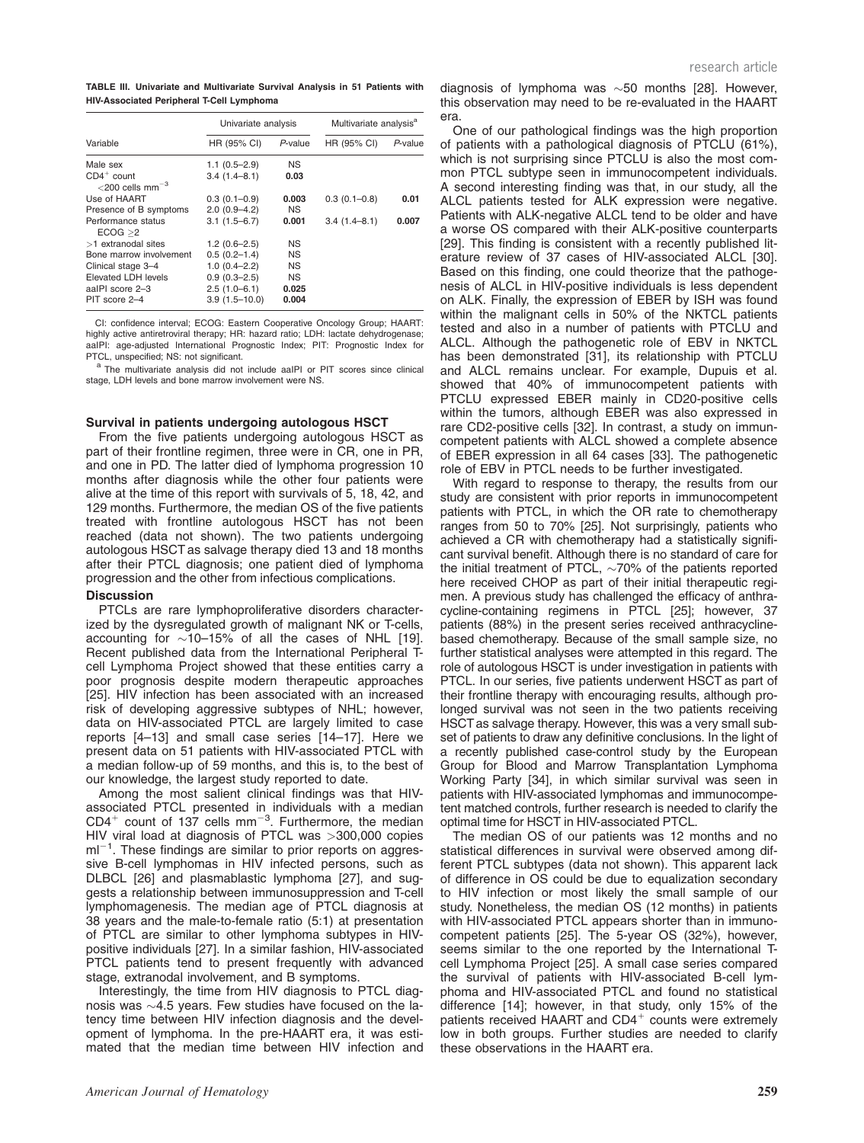TABLE III. Univariate and Multivariate Survival Analysis in 51 Patients with HIV-Associated Peripheral T-Cell Lymphoma

|                                                 | Univariate analysis |           | Multivariate analysis <sup>a</sup> |         |  |
|-------------------------------------------------|---------------------|-----------|------------------------------------|---------|--|
| Variable                                        | HR (95% CI)         | P-value   | HR (95% CI)                        | P-value |  |
| Male sex                                        | $1.1(0.5 - 2.9)$    | ΝS        |                                    |         |  |
| $CD4^+$ count<br>$<$ 200 cells mm <sup>-3</sup> | $3.4(1.4 - 8.1)$    | 0.03      |                                    |         |  |
| Use of HAART                                    | $0.3(0.1-0.9)$      | 0.003     | $0.3(0.1 - 0.8)$                   | 0.01    |  |
| Presence of B symptoms                          | $2.0(0.9 - 4.2)$    | NS.       |                                    |         |  |
| Performance status<br>ECOG > 2                  | $3.1(1.5 - 6.7)$    | 0.001     | $3.4(1.4 - 8.1)$                   | 0.007   |  |
| >1 extranodal sites                             | $1.2(0.6 - 2.5)$    | <b>NS</b> |                                    |         |  |
| Bone marrow involvement                         | $0.5(0.2 - 1.4)$    | ΝS        |                                    |         |  |
| Clinical stage 3-4                              | $1.0(0.4 - 2.2)$    | ΝS        |                                    |         |  |
| Elevated LDH levels                             | $0.9(0.3 - 2.5)$    | ΝS        |                                    |         |  |
| aalPI score 2-3                                 | $2.5(1.0-6.1)$      | 0.025     |                                    |         |  |
| PIT score 2-4                                   | $3.9(1.5 - 10.0)$   | 0.004     |                                    |         |  |

CI: confidence interval; ECOG: Eastern Cooperative Oncology Group; HAART: highly active antiretroviral therapy; HR: hazard ratio; LDH: lactate dehydrogenase; aaIPI: age-adjusted International Prognostic Index; PIT: Prognostic Index for PTCL, unspecified; NS: not significant.<br><sup>a</sup> The multivariate analysis did not include aaIPI or PIT scores since clinical

stage, LDH levels and bone marrow involvement were NS.

## Survival in patients undergoing autologous HSCT

From the five patients undergoing autologous HSCT as part of their frontline regimen, three were in CR, one in PR, and one in PD. The latter died of lymphoma progression 10 months after diagnosis while the other four patients were alive at the time of this report with survivals of 5, 18, 42, and 129 months. Furthermore, the median OS of the five patients treated with frontline autologous HSCT has not been reached (data not shown). The two patients undergoing autologous HSCT as salvage therapy died 13 and 18 months after their PTCL diagnosis; one patient died of lymphoma progression and the other from infectious complications.

## **Discussion**

PTCLs are rare lymphoproliferative disorders characterized by the dysregulated growth of malignant NK or T-cells, accounting for  $\sim$ 10–15% of all the cases of NHL [19]. Recent published data from the International Peripheral Tcell Lymphoma Project showed that these entities carry a poor prognosis despite modern therapeutic approaches [25]. HIV infection has been associated with an increased risk of developing aggressive subtypes of NHL; however, data on HIV-associated PTCL are largely limited to case reports [4–13] and small case series [14–17]. Here we present data on 51 patients with HIV-associated PTCL with a median follow-up of 59 months, and this is, to the best of our knowledge, the largest study reported to date.

Among the most salient clinical findings was that HIVassociated PTCL presented in individuals with a median  $CD4^+$  count of 137 cells mm<sup>-3</sup>. Furthermore, the median HIV viral load at diagnosis of PTCL was >300,000 copies  $ml^{-1}$ . These findings are similar to prior reports on aggressive B-cell lymphomas in HIV infected persons, such as DLBCL [26] and plasmablastic lymphoma [27], and suggests a relationship between immunosuppression and T-cell lymphomagenesis. The median age of PTCL diagnosis at 38 years and the male-to-female ratio (5:1) at presentation of PTCL are similar to other lymphoma subtypes in HIVpositive individuals [27]. In a similar fashion, HIV-associated PTCL patients tend to present frequently with advanced stage, extranodal involvement, and B symptoms.

Interestingly, the time from HIV diagnosis to PTCL diagnosis was  $\sim$ 4.5 years. Few studies have focused on the latency time between HIV infection diagnosis and the development of lymphoma. In the pre-HAART era, it was estimated that the median time between HIV infection and

diagnosis of lymphoma was  $\sim$ 50 months [28]. However, this observation may need to be re-evaluated in the HAART era.

One of our pathological findings was the high proportion of patients with a pathological diagnosis of PTCLU (61%), which is not surprising since PTCLU is also the most common PTCL subtype seen in immunocompetent individuals. A second interesting finding was that, in our study, all the ALCL patients tested for ALK expression were negative. Patients with ALK-negative ALCL tend to be older and have a worse OS compared with their ALK-positive counterparts [29]. This finding is consistent with a recently published literature review of 37 cases of HIV-associated ALCL [30]. Based on this finding, one could theorize that the pathogenesis of ALCL in HIV-positive individuals is less dependent on ALK. Finally, the expression of EBER by ISH was found within the malignant cells in 50% of the NKTCL patients tested and also in a number of patients with PTCLU and ALCL. Although the pathogenetic role of EBV in NKTCL has been demonstrated [31], its relationship with PTCLU and ALCL remains unclear. For example, Dupuis et al. showed that 40% of immunocompetent patients with PTCLU expressed EBER mainly in CD20-positive cells within the tumors, although EBER was also expressed in rare CD2-positive cells [32]. In contrast, a study on immuncompetent patients with ALCL showed a complete absence of EBER expression in all 64 cases [33]. The pathogenetic role of EBV in PTCL needs to be further investigated.

With regard to response to therapy, the results from our study are consistent with prior reports in immunocompetent patients with PTCL, in which the OR rate to chemotherapy ranges from 50 to 70% [25]. Not surprisingly, patients who achieved a CR with chemotherapy had a statistically significant survival benefit. Although there is no standard of care for the initial treatment of PTCL,  $\sim$ 70% of the patients reported here received CHOP as part of their initial therapeutic regimen. A previous study has challenged the efficacy of anthracycline-containing regimens in PTCL [25]; however, 37 patients (88%) in the present series received anthracyclinebased chemotherapy. Because of the small sample size, no further statistical analyses were attempted in this regard. The role of autologous HSCT is under investigation in patients with PTCL. In our series, five patients underwent HSCT as part of their frontline therapy with encouraging results, although prolonged survival was not seen in the two patients receiving HSCT as salvage therapy. However, this was a very small subset of patients to draw any definitive conclusions. In the light of a recently published case-control study by the European Group for Blood and Marrow Transplantation Lymphoma Working Party [34], in which similar survival was seen in patients with HIV-associated lymphomas and immunocompetent matched controls, further research is needed to clarify the optimal time for HSCT in HIV-associated PTCL.

The median OS of our patients was 12 months and no statistical differences in survival were observed among different PTCL subtypes (data not shown). This apparent lack of difference in OS could be due to equalization secondary to HIV infection or most likely the small sample of our study. Nonetheless, the median OS (12 months) in patients with HIV-associated PTCL appears shorter than in immunocompetent patients [25]. The 5-year OS (32%), however, seems similar to the one reported by the International Tcell Lymphoma Project [25]. A small case series compared the survival of patients with HIV-associated B-cell lymphoma and HIV-associated PTCL and found no statistical difference [14]; however, in that study, only 15% of the patients received HAART and  $CD4^+$  counts were extremely low in both groups. Further studies are needed to clarify these observations in the HAART era.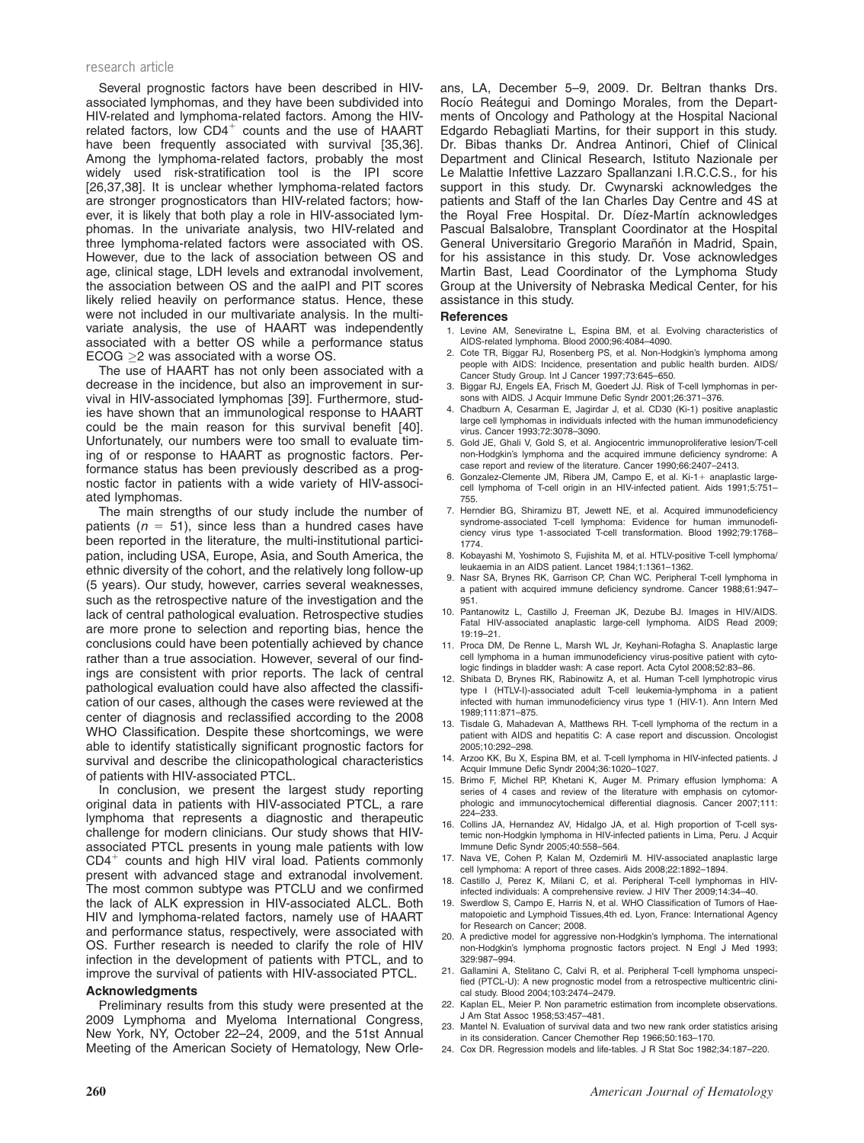#### research article

Several prognostic factors have been described in HIVassociated lymphomas, and they have been subdivided into HIV-related and lymphoma-related factors. Among the HIVrelated factors, low  $CD4^+$  counts and the use of HAART have been frequently associated with survival [35,36]. Among the lymphoma-related factors, probably the most widely used risk-stratification tool is the IPI score [26,37,38]. It is unclear whether lymphoma-related factors are stronger prognosticators than HIV-related factors; however, it is likely that both play a role in HIV-associated lymphomas. In the univariate analysis, two HIV-related and three lymphoma-related factors were associated with OS. However, due to the lack of association between OS and age, clinical stage, LDH levels and extranodal involvement, the association between OS and the aaIPI and PIT scores likely relied heavily on performance status. Hence, these were not included in our multivariate analysis. In the multivariate analysis, the use of HAART was independently associated with a better OS while a performance status  $ECOG > 2$  was associated with a worse OS.

The use of HAART has not only been associated with a decrease in the incidence, but also an improvement in survival in HIV-associated lymphomas [39]. Furthermore, studies have shown that an immunological response to HAART could be the main reason for this survival benefit [40]. Unfortunately, our numbers were too small to evaluate timing of or response to HAART as prognostic factors. Performance status has been previously described as a prognostic factor in patients with a wide variety of HIV-associated lymphomas.

The main strengths of our study include the number of patients ( $n = 51$ ), since less than a hundred cases have been reported in the literature, the multi-institutional participation, including USA, Europe, Asia, and South America, the ethnic diversity of the cohort, and the relatively long follow-up (5 years). Our study, however, carries several weaknesses, such as the retrospective nature of the investigation and the lack of central pathological evaluation. Retrospective studies are more prone to selection and reporting bias, hence the conclusions could have been potentially achieved by chance rather than a true association. However, several of our findings are consistent with prior reports. The lack of central pathological evaluation could have also affected the classification of our cases, although the cases were reviewed at the center of diagnosis and reclassified according to the 2008 WHO Classification. Despite these shortcomings, we were able to identify statistically significant prognostic factors for survival and describe the clinicopathological characteristics of patients with HIV-associated PTCL.

In conclusion, we present the largest study reporting original data in patients with HIV-associated PTCL, a rare lymphoma that represents a diagnostic and therapeutic challenge for modern clinicians. Our study shows that HIVassociated PTCL presents in young male patients with low  $CD4<sup>+</sup>$  counts and high HIV viral load. Patients commonly present with advanced stage and extranodal involvement. The most common subtype was PTCLU and we confirmed the lack of ALK expression in HIV-associated ALCL. Both HIV and lymphoma-related factors, namely use of HAART and performance status, respectively, were associated with OS. Further research is needed to clarify the role of HIV infection in the development of patients with PTCL, and to improve the survival of patients with HIV-associated PTCL.

#### Acknowledgments

Preliminary results from this study were presented at the 2009 Lymphoma and Myeloma International Congress, New York, NY, October 22–24, 2009, and the 51st Annual Meeting of the American Society of Hematology, New Orleans, LA, December 5–9, 2009. Dr. Beltran thanks Drs. Rocio Reategui and Domingo Morales, from the Departments of Oncology and Pathology at the Hospital Nacional Edgardo Rebagliati Martins, for their support in this study. Dr. Bibas thanks Dr. Andrea Antinori, Chief of Clinical Department and Clinical Research, Istituto Nazionale per Le Malattie Infettive Lazzaro Spallanzani I.R.C.C.S., for his support in this study. Dr. Cwynarski acknowledges the patients and Staff of the Ian Charles Day Centre and 4S at the Royal Free Hospital. Dr. Diez-Martin acknowledges Pascual Balsalobre, Transplant Coordinator at the Hospital General Universitario Gregorio Marañón in Madrid, Spain, for his assistance in this study. Dr. Vose acknowledges Martin Bast, Lead Coordinator of the Lymphoma Study Group at the University of Nebraska Medical Center, for his assistance in this study.

#### References

- 1. Levine AM, Seneviratne L, Espina BM, et al. Evolving characteristics of AIDS-related lymphoma. Blood 2000;96:4084–4090.
- 2. Cote TR, Biggar RJ, Rosenberg PS, et al. Non-Hodgkin's lymphoma among people with AIDS: Incidence, presentation and public health burden. AIDS/ Cancer Study Group. Int J Cancer 1997;73:645–650.
- 3. Biggar RJ, Engels EA, Frisch M, Goedert JJ. Risk of T-cell lymphomas in persons with AIDS. J Acquir Immune Defic Syndr 2001;26:371–376.
- 4. Chadburn A, Cesarman E, Jagirdar J, et al. CD30 (Ki-1) positive anaplastic large cell lymphomas in individuals infected with the human immunodeficiency virus. Cancer 1993;72:3078–3090.
- 5. Gold JE, Ghali V, Gold S, et al. Angiocentric immunoproliferative lesion/T-cell non-Hodgkin's lymphoma and the acquired immune deficiency syndrome: A case report and review of the literature. Cancer 1990;66:2407–2413.
- 6. Gonzalez-Clemente JM, Ribera JM, Campo E, et al. Ki-1+ anaplastic largecell lymphoma of T-cell origin in an HIV-infected patient. Aids 1991;5:751– 755.
- 7. Herndier BG, Shiramizu BT, Jewett NE, et al. Acquired immunodeficiency syndrome-associated T-cell lymphoma: Evidence for human immunodeficiency virus type 1-associated T-cell transformation. Blood 1992;79:1768– 1774.
- 8. Kobayashi M, Yoshimoto S, Fujishita M, et al. HTLV-positive T-cell lymphoma/ leukaemia in an AIDS patient. Lancet 1984;1:1361–1362.
- 9. Nasr SA, Brynes RK, Garrison CP, Chan WC. Peripheral T-cell lymphoma in a patient with acquired immune deficiency syndrome. Cancer 1988;61:947– 951.
- 10. Pantanowitz L, Castillo J, Freeman JK, Dezube BJ. Images in HIV/AIDS. Fatal HIV-associated anaplastic large-cell lymphoma. AIDS Read 2009; 19:19–21.
- 11. Proca DM, De Renne L, Marsh WL Jr, Keyhani-Rofagha S. Anaplastic large cell lymphoma in a human immunodeficiency virus-positive patient with cytologic findings in bladder wash: A case report. Acta Cytol 2008;52:83–86.
- 12. Shibata D, Brynes RK, Rabinowitz A, et al. Human T-cell lymphotropic virus type I (HTLV-I)-associated adult T-cell leukemia-lymphoma in a patient infected with human immunodeficiency virus type 1 (HIV-1). Ann Intern Med 1989;111:871–875.
- 13. Tisdale G, Mahadevan A, Matthews RH. T-cell lymphoma of the rectum in a patient with AIDS and hepatitis C: A case report and discussion. Oncologist 2005;10:292–298.
- 14. Arzoo KK, Bu X, Espina BM, et al. T-cell lymphoma in HIV-infected patients. J Acquir Immune Defic Syndr 2004;36:1020–1027.
- 15. Brimo F, Michel RP, Khetani K, Auger M. Primary effusion lymphoma: A series of 4 cases and review of the literature with emphasis on cytomorphologic and immunocytochemical differential diagnosis. Cancer 2007;111: 224–233.
- 16. Collins JA, Hernandez AV, Hidalgo JA, et al. High proportion of T-cell systemic non-Hodgkin lymphoma in HIV-infected patients in Lima, Peru. J Acquir Immune Defic Syndr 2005;40:558–564.
- 17. Nava VE, Cohen P, Kalan M, Ozdemirli M. HIV-associated anaplastic large cell lymphoma: A report of three cases. Aids 2008;22:1892–1894.
- 18. Castillo J, Perez K, Milani C, et al. Peripheral T-cell lymphomas in HIVinfected individuals: A comprehensive review. J HIV Ther 2009;14:34–40.
- 19. Swerdlow S, Campo E, Harris N, et al. WHO Classification of Tumors of Haematopoietic and Lymphoid Tissues,4th ed. Lyon, France: International Agency for Research on Cancer; 2008.
- 20. A predictive model for aggressive non-Hodgkin's lymphoma. The international non-Hodgkin's lymphoma prognostic factors project. N Engl J Med 1993; 329:987–994.
- 21. Gallamini A, Stelitano C, Calvi R, et al. Peripheral T-cell lymphoma unspecified (PTCL-U): A new prognostic model from a retrospective multicentric clinical study. Blood 2004;103:2474–2479.
- 22. Kaplan EL, Meier P. Non parametric estimation from incomplete observations. J Am Stat Assoc 1958;53:457–481.
- 23. Mantel N. Evaluation of survival data and two new rank order statistics arising in its consideration. Cancer Chemother Rep 1966;50:163–170.
- 24. Cox DR. Regression models and life-tables. J R Stat Soc 1982;34:187–220.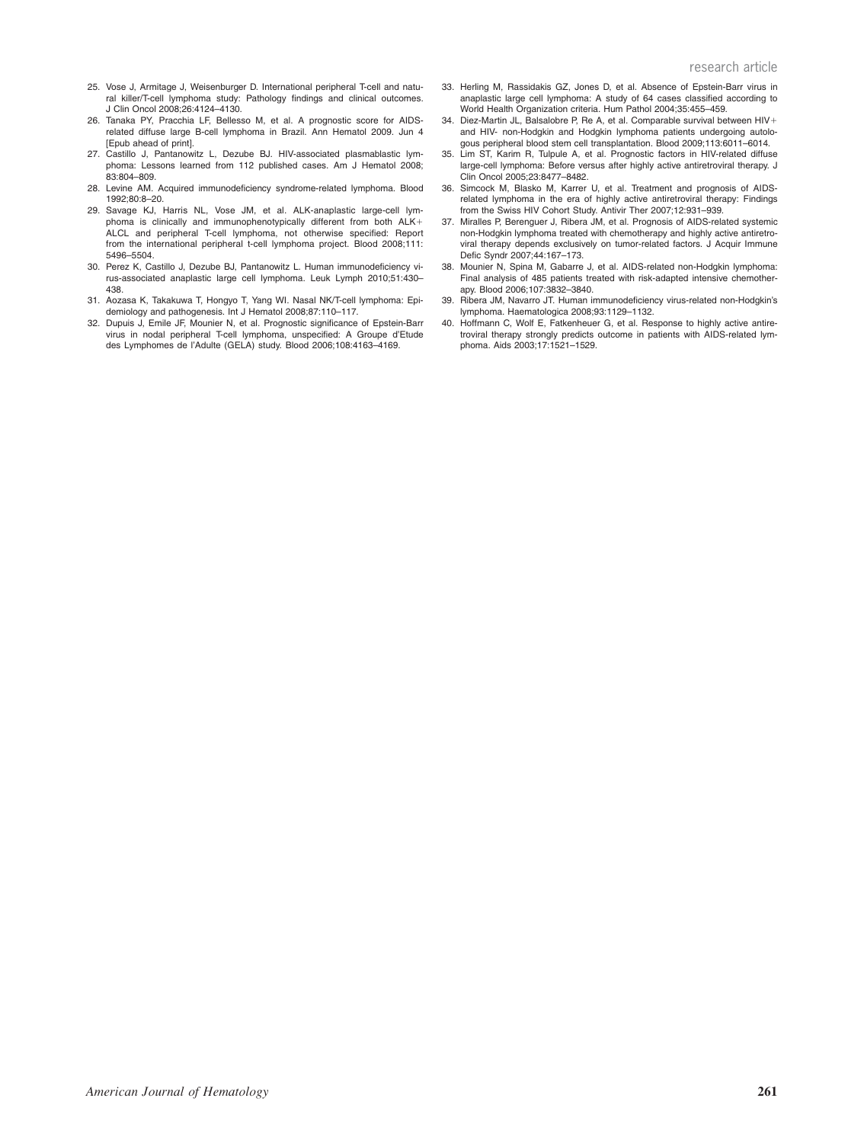- 25. Vose J, Armitage J, Weisenburger D. International peripheral T-cell and natural killer/T-cell lymphoma study: Pathology findings and clinical outcomes. J Clin Oncol 2008;26:4124–4130.
- 26. Tanaka PY, Pracchia LF, Bellesso M, et al. A prognostic score for AIDSrelated diffuse large B-cell lymphoma in Brazil. Ann Hematol 2009. Jun 4 [Epub ahead of print].
- 27. Castillo J, Pantanowitz L, Dezube BJ. HIV-associated plasmablastic lymphoma: Lessons learned from 112 published cases. Am J Hematol 2008; 83:804–809.
- 28. Levine AM. Acquired immunodeficiency syndrome-related lymphoma. Blood 1992;80:8–20.
- 29. Savage KJ, Harris NL, Vose JM, et al. ALK-anaplastic large-cell lymphoma is clinically and immunophenotypically different from both ALK+<br>ALCL and peripheral T-cell lymphoma, not otherwise specified: Report from the international peripheral t-cell lymphoma project. Blood 2008;111: 5496–5504.
- 30. Perez K, Castillo J, Dezube BJ, Pantanowitz L. Human immunodeficiency virus-associated anaplastic large cell lymphoma. Leuk Lymph 2010;51:430– 438.
- 31. Aozasa K, Takakuwa T, Hongyo T, Yang WI. Nasal NK/T-cell lymphoma: Epidemiology and pathogenesis. Int J Hematol 2008;87:110–117.
- 32. Dupuis J, Emile JF, Mounier N, et al. Prognostic significance of Epstein-Barr virus in nodal peripheral T-cell lymphoma, unspecified: A Groupe d'Etude des Lymphomes de l'Adulte (GELA) study. Blood 2006;108:4163–4169.
- 33. Herling M, Rassidakis GZ, Jones D, et al. Absence of Epstein-Barr virus in anaplastic large cell lymphoma: A study of 64 cases classified according to World Health Organization criteria. Hum Pathol 2004;35:455–459.
- 34. Diez-Martin JL, Balsalobre P, Re A, et al. Comparable survival between HIV+ and HIV- non-Hodgkin and Hodgkin lymphoma patients undergoing autologous peripheral blood stem cell transplantation. Blood 2009;113:6011–6014.
- 35. Lim ST, Karim R, Tulpule A, et al. Prognostic factors in HIV-related diffuse large-cell lymphoma: Before versus after highly active antiretroviral therapy. J Clin Oncol 2005;23:8477–8482.
- 36. Simcock M, Blasko M, Karrer U, et al. Treatment and prognosis of AIDSrelated lymphoma in the era of highly active antiretroviral therapy: Findings from the Swiss HIV Cohort Study. Antivir Ther 2007;12:931–939.
- 37. Miralles P, Berenguer J, Ribera JM, et al. Prognosis of AIDS-related systemic non-Hodgkin lymphoma treated with chemotherapy and highly active antiretroviral therapy depends exclusively on tumor-related factors. J Acquir Immune Defic Syndr 2007;44:167–173.
- 38. Mounier N, Spina M, Gabarre J, et al. AIDS-related non-Hodgkin lymphoma: Final analysis of 485 patients treated with risk-adapted intensive chemotherapy. Blood 2006;107:3832–3840.
- 39. Ribera JM, Navarro JT. Human immunodeficiency virus-related non-Hodgkin's lymphoma. Haematologica 2008;93:1129–1132.
- 40. Hoffmann C, Wolf E, Fatkenheuer G, et al. Response to highly active antiretroviral therapy strongly predicts outcome in patients with AIDS-related lymphoma. Aids 2003;17:1521–1529.